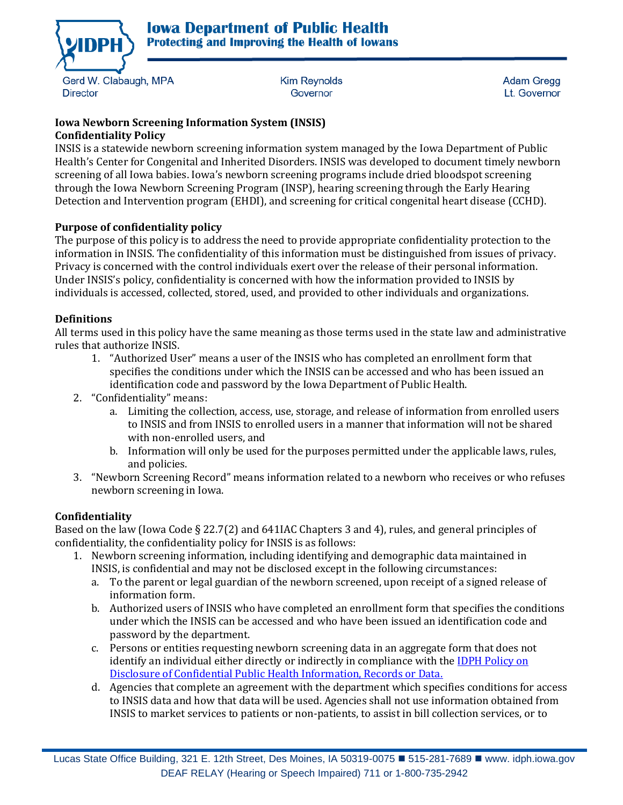

Gerd W. Clabaugh, MPA **Director** 

**Kim Revnolds** Governor

**Adam Gregg** Lt. Governor

#### **Iowa Newborn Screening Information System (INSIS) Confidentiality Policy**

INSIS is a statewide newborn screening information system managed by the Iowa Department of Public Health's Center for Congenital and Inherited Disorders. INSIS was developed to document timely newborn screening of all Iowa babies. Iowa's newborn screening programs include dried bloodspot screening through the Iowa Newborn Screening Program (INSP), hearing screening through the Early Hearing Detection and Intervention program (EHDI), and screening for critical congenital heart disease (CCHD).

# **Purpose of confidentiality policy**

The purpose of this policy is to address the need to provide appropriate confidentiality protection to the information in INSIS. The confidentiality of this information must be distinguished from issues of privacy. Privacy is concerned with the control individuals exert over the release of their personal information. Under INSIS's policy, confidentiality is concerned with how the information provided to INSIS by individuals is accessed, collected, stored, used, and provided to other individuals and organizations.

# **Definitions**

All terms used in this policy have the same meaning as those terms used in the state law and administrative rules that authorize INSIS.

- 1. "Authorized User" means a user of the INSIS who has completed an enrollment form that specifies the conditions under which the INSIS can be accessed and who has been issued an identification code and password by the Iowa Department of Public Health.
- 2. "Confidentiality" means:
	- a. Limiting the collection, access, use, storage, and release of information from enrolled users to INSIS and from INSIS to enrolled users in a manner that information will not be shared with non-enrolled users, and
	- b. Information will only be used for the purposes permitted under the applicable laws, rules, and policies.
- 3. "Newborn Screening Record" means information related to a newborn who receives or who refuses newborn screening in Iowa.

# **Confidentiality**

Based on the law (Iowa Code § 22.7(2) and 641IAC Chapters 3 and 4), rules, and general principles of confidentiality, the confidentiality policy for INSIS is as follows:

- 1. Newborn screening information, including identifying and demographic data maintained in INSIS, is confidential and may not be disclosed except in the following circumstances:
	- a. To the parent or legal guardian of the newborn screened, upon receipt of a signed release of information form.
	- b. Authorized users of INSIS who have completed an enrollment form that specifies the conditions under which the INSIS can be accessed and who have been issued an identification code and password by the department.
	- c. Persons or entities requesting newborn screening data in an aggregate form that does not identify an individual either directly or indirectly in compliance with th[e IDPH Policy on](http://idph.iowa.gov/Portals/1/userfiles/144/Disclosure%20of%20Confidential%20PH%20Information%20Records%20or%20Data.pdf)  [Disclosure of Confidential Public Health Information, Records or Data.](http://idph.iowa.gov/Portals/1/userfiles/144/Disclosure%20of%20Confidential%20PH%20Information%20Records%20or%20Data.pdf)
	- d. Agencies that complete an agreement with the department which specifies conditions for access to INSIS data and how that data will be used. Agencies shall not use information obtained from INSIS to market services to patients or non-patients, to assist in bill collection services, or to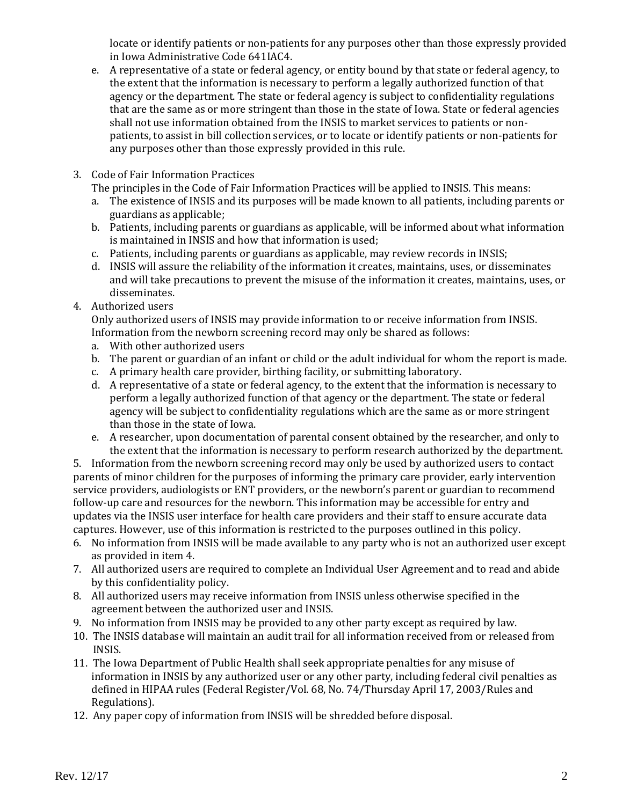locate or identify patients or non-patients for any purposes other than those expressly provided in Iowa Administrative Code 641IAC4.

- e. A representative of a state or federal agency, or entity bound by that state or federal agency, to the extent that the information is necessary to perform a legally authorized function of that agency or the department. The state or federal agency is subject to confidentiality regulations that are the same as or more stringent than those in the state of Iowa. State or federal agencies shall not use information obtained from the INSIS to market services to patients or nonpatients, to assist in bill collection services, or to locate or identify patients or non-patients for any purposes other than those expressly provided in this rule.
- 3. Code of Fair Information Practices

The principles in the Code of Fair Information Practices will be applied to INSIS. This means:

- a. The existence of INSIS and its purposes will be made known to all patients, including parents or guardians as applicable;
- b. Patients, including parents or guardians as applicable, will be informed about what information is maintained in INSIS and how that information is used;
- c. Patients, including parents or guardians as applicable, may review records in INSIS;
- d. INSIS will assure the reliability of the information it creates, maintains, uses, or disseminates and will take precautions to prevent the misuse of the information it creates, maintains, uses, or disseminates.
- 4. Authorized users

Only authorized users of INSIS may provide information to or receive information from INSIS. Information from the newborn screening record may only be shared as follows:

- a. With other authorized users
- b. The parent or guardian of an infant or child or the adult individual for whom the report is made.
- c. A primary health care provider, birthing facility, or submitting laboratory.
- d. A representative of a state or federal agency, to the extent that the information is necessary to perform a legally authorized function of that agency or the department. The state or federal agency will be subject to confidentiality regulations which are the same as or more stringent than those in the state of Iowa.
- e. A researcher, upon documentation of parental consent obtained by the researcher, and only to the extent that the information is necessary to perform research authorized by the department.

5. Information from the newborn screening record may only be used by authorized users to contact parents of minor children for the purposes of informing the primary care provider, early intervention service providers, audiologists or ENT providers, or the newborn's parent or guardian to recommend follow-up care and resources for the newborn. This information may be accessible for entry and updates via the INSIS user interface for health care providers and their staff to ensure accurate data captures. However, use of this information is restricted to the purposes outlined in this policy.

- 6. No information from INSIS will be made available to any party who is not an authorized user except as provided in item 4.
- 7. All authorized users are required to complete an Individual User Agreement and to read and abide by this confidentiality policy.
- 8. All authorized users may receive information from INSIS unless otherwise specified in the agreement between the authorized user and INSIS.
- 9. No information from INSIS may be provided to any other party except as required by law.
- 10. The INSIS database will maintain an audit trail for all information received from or released from INSIS.
- 11. The Iowa Department of Public Health shall seek appropriate penalties for any misuse of information in INSIS by any authorized user or any other party, including federal civil penalties as defined in HIPAA rules (Federal Register/Vol. 68, No. 74/Thursday April 17, 2003/Rules and Regulations).
- 12. Any paper copy of information from INSIS will be shredded before disposal.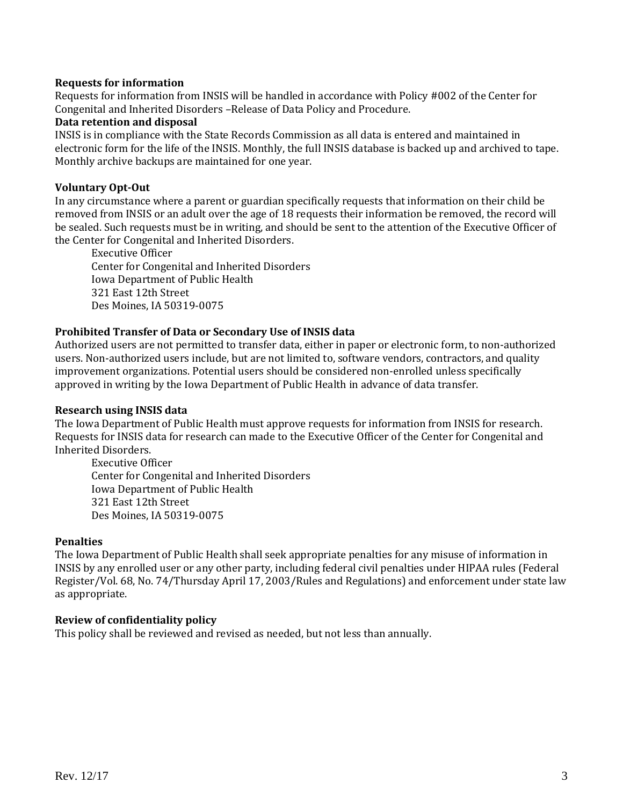### **Requests for information**

Requests for information from INSIS will be handled in accordance with Policy #002 of the Center for Congenital and Inherited Disorders –Release of Data Policy and Procedure.

### **Data retention and disposal**

INSIS is in compliance with the State Records Commission as all data is entered and maintained in electronic form for the life of the INSIS. Monthly, the full INSIS database is backed up and archived to tape. Monthly archive backups are maintained for one year.

# **Voluntary Opt-Out**

In any circumstance where a parent or guardian specifically requests that information on their child be removed from INSIS or an adult over the age of 18 requests their information be removed, the record will be sealed. Such requests must be in writing, and should be sent to the attention of the Executive Officer of the Center for Congenital and Inherited Disorders.

Executive Officer Center for Congenital and Inherited Disorders Iowa Department of Public Health 321 East 12th Street Des Moines, IA 50319-0075

# **Prohibited Transfer of Data or Secondary Use of INSIS data**

Authorized users are not permitted to transfer data, either in paper or electronic form, to non-authorized users. Non-authorized users include, but are not limited to, software vendors, contractors, and quality improvement organizations. Potential users should be considered non-enrolled unless specifically approved in writing by the Iowa Department of Public Health in advance of data transfer.

### **Research using INSIS data**

The Iowa Department of Public Health must approve requests for information from INSIS for research. Requests for INSIS data for research can made to the Executive Officer of the Center for Congenital and Inherited Disorders.

Executive Officer Center for Congenital and Inherited Disorders Iowa Department of Public Health 321 East 12th Street Des Moines, IA 50319-0075

### **Penalties**

The Iowa Department of Public Health shall seek appropriate penalties for any misuse of information in INSIS by any enrolled user or any other party, including federal civil penalties under HIPAA rules (Federal Register/Vol. 68, No. 74/Thursday April 17, 2003/Rules and Regulations) and enforcement under state law as appropriate.

### **Review of confidentiality policy**

This policy shall be reviewed and revised as needed, but not less than annually.